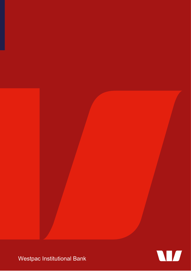

W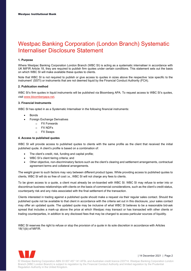# Westpac Banking Corporation (London Branch) Systematic Internaliser Disclosure Statement

## 1. Purpose

Where Westpac Banking Corporation London Branch (WBC SI) is acting as a systematic internaliser in accordance with UK MiFIR Article 18, they are required to publish firm quotes under certain conditions. This statement sets out the basis on which WBC SI will make available these quotes to clients.

Note that WBC SI is not required to publish or give access to quotes in sizes above the respective 'size specific to the instrument' (SSTI) or instruments that are not deemed liquid by the Financial Conduct Authority (FCA).

### 2. Publication method

WBC SI's firm quotes in liquid instruments will be published via Bloomberg APA. To request access to WBC SI's quotes, visit www.bloombergapa.net.

## 3. Financial Instruments

WBC SI has opted in as a Systematic Internaliser in the following financial instruments:

- Bonds
- Foreign Exchange Derivatives
	- o FX Forwards
	- o FX NDFs
	- o FX Swaps

#### 4. Access to published quotes

WBC SI will provide access to published quotes to clients with the same profile as the client that received the initial published quote. A client's profile is based on a combination of:

- The client's credit, risk, funding and capital profile;
- WBC SI's client tiering criteria; and
- Other objective, non-discriminatory factors such as the client's clearing and settlement arrangements, contractual agreement terms and collateral arrangements.

The weight given to such factors may vary between different product types. While providing access to published quotes to clients, WBC SI will do so free of cost i.e., WBC SI will not charge any fees to clients.

To be given access to a quote, a client must already be on-boarded with WBC SI. WBC SI may refuse to enter into or discontinue business relationships with clients on the basis of commercial considerations, such as the client's credit status, counterparty risk and any risks associated with the final settlement of the transaction.

Clients interested in trading against a published quote should make a request via their regular sales contact. Should the published quote not be available to that client in accordance with the criteria set out in this disclosure, your sales contact may offer an updated quote. The updated quote may be inclusive of what WBC SI believes to be a reasonable bid-ask spread that includes a mark-up above the price at which Westpac may transact or has transacted with other clients or trading counterparties, in addition to any disclosed fees that may be charged to access particular sources of liquidity.

WBC SI reserves the right to refuse or stop the provision of a quote in its sole discretion in accordance with Articles 18(1)(b) of MiFIR.



| 14 December 2021 | Page 2

© Westpac Banking Corporation ABN 33 007 457 141 AFSL and Australian credit licence 233714. Westpac Banking Corporation London Branch (WBC London Branch) is subject to regulation by the Financial Conduct Authority and limited regulation by the Prudential Regulation Authority in the United Kingdom.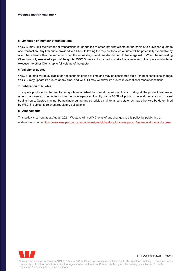## 5. Limitation on number of transactions

WBC SI may limit the number of transactions it undertakes to enter into with clients on the basis of a published quote to one transaction. Any firm quote provided to a Client following the request for such a quote will be potentially executable by one other Client within the same tier when the requesting Client has decided not to trade against it. When the requesting Client has only executed a part of the quote, WBC SI may at its discretion make the remainder of the quote available for execution to other Clients up to full volume of the quote.

# 6. Validity of quotes

WBC SI quotes will be available for a reasonable period of time and may be considered stale if market conditions change. WBC SI may update its quotes at any time, and WBC SI may withdraw its quotes in exceptional market conditions.

# 7. Publication of Quotes

The quote published is the real traded quote established by normal market practice, including all the product features or other components of the quote such as the counterparty or liquidity risk. WBC SI will publish quotes during standard market trading hours. Quotes may not be available during any scheduled maintenance slots or as may otherwise be determined by WBC SI subject to relevant regulatory obligations.

# 8. Amendments

This policy is current as at August 2021. Westpac will notify Clients of any changes to this policy by publishing an updated version on https://www.westpac.com.au/about-westpac/global-locations/westpac-uk/wel-regulatory-disclosures/.



| 14 December 2021 | Page 3

© Westpac Banking Corporation ABN 33 007 457 141 AFSL and Australian credit licence 233714. Westpac Banking Corporation London Branch (WBC London Branch) is subject to regulation by the Financial Conduct Authority and limited regulation by the Prudential Regulation Authority in the United Kingdom.